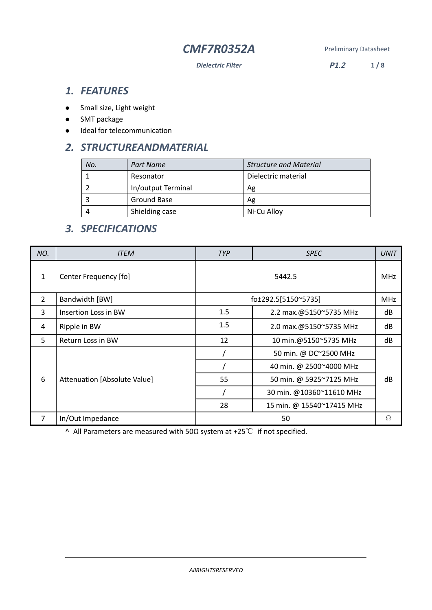*Dielectric Filter* **P1.2 1 / 8**

# *1. FEATURES*

- Small size, Light weight
- SMT package
- $\bullet$  Ideal for telecommunication

# *2. STRUCTUREANDMATERIAL*

| No. | Part Name          | <b>Structure and Material</b> |  |  |
|-----|--------------------|-------------------------------|--|--|
|     | Resonator          | Dielectric material           |  |  |
|     | In/output Terminal | Ag                            |  |  |
|     | Ground Base        | Ag                            |  |  |
|     | Shielding case     | Ni-Cu Alloy                   |  |  |

# *3. SPECIFICATIONS*

| NO.            | <b>ITEM</b>                  | <b>TYP</b><br><b>SPEC</b>     |                           |    |  |  |
|----------------|------------------------------|-------------------------------|---------------------------|----|--|--|
| $\mathbf{1}$   | Center Frequency [fo]        | 5442.5                        |                           |    |  |  |
| $\overline{2}$ | Bandwidth [BW]               |                               | fo±292.5[5150~5735]       |    |  |  |
| 3              | Insertion Loss in BW         | 1.5<br>2.2 max.@5150~5735 MHz |                           |    |  |  |
| 4              | Ripple in BW                 | 1.5                           | 2.0 max.@5150~5735 MHz    |    |  |  |
| 5.             | Return Loss in BW            | 12                            | 10 min.@5150~5735 MHz     | dB |  |  |
| 6              |                              | 50 min. @ DC~2500 MHz         |                           |    |  |  |
|                |                              |                               | 40 min. @ 2500~4000 MHz   |    |  |  |
|                | Attenuation [Absolute Value] | 55                            | 50 min. @ 5925~7125 MHz   | dB |  |  |
|                |                              |                               | 30 min. @10360~11610 MHz  |    |  |  |
|                |                              | 28                            | 15 min. @ 15540~17415 MHz |    |  |  |
| 7              | In/Out Impedance             | 50                            |                           |    |  |  |

^ All Parameters are measured with 50Ω system at +25℃ if not specified.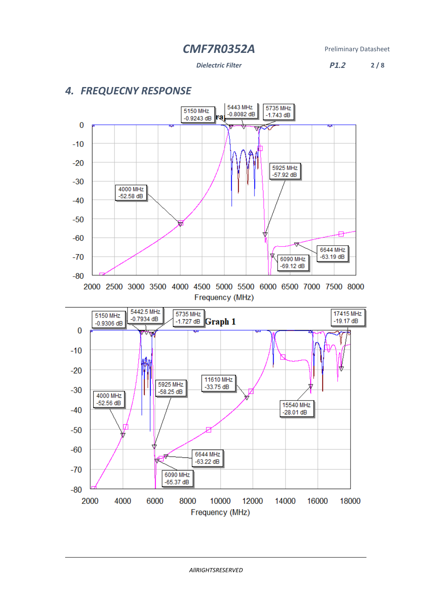### *Dielectric Filter* **P1.2 2 / 8**

# *4. FREQUECNY RESPONSE*

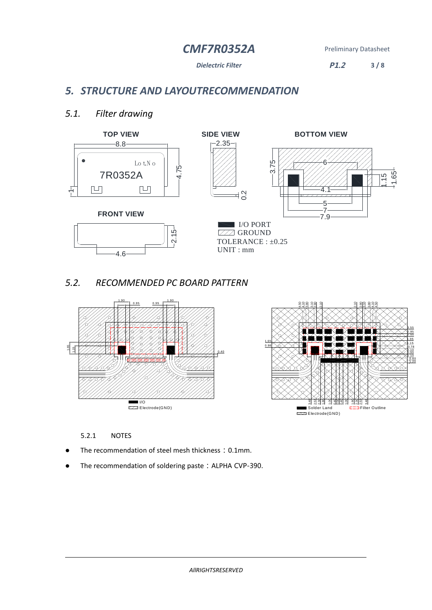*Dielectric Filter* **P1.2 3 / 8**

# *5. STRUCTURE AND LAYOUTRECOMMENDATION*

## *5.1. Filter drawing*



# *5.2. RECOMMENDED PC BOARD PATTERN*





## 5.2.1 NOTES

- The recommendation of steel mesh thickness: 0.1mm.
- The recommendation of soldering paste: ALPHA CVP-390.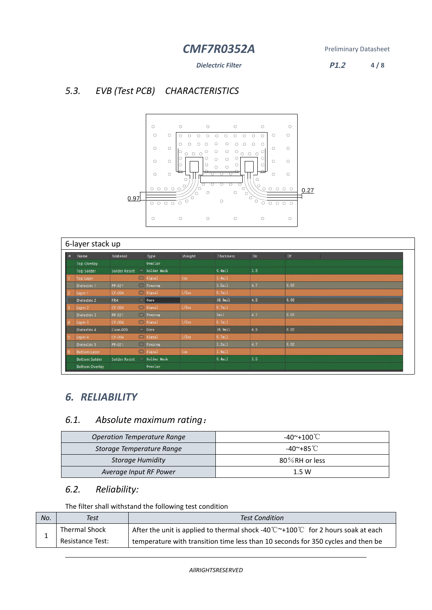*Dielectric Filter* **P1.2 4 / 8**

# *5.3. EVB (Test PCB) CHARACTERISTICS*



| 6-layer stack up |                         |                      |               |          |                    |     |      |
|------------------|-------------------------|----------------------|---------------|----------|--------------------|-----|------|
| #                | <b>Name</b>             | Material             | Type          | Weight   | <b>Thickness</b>   | Dk. | Df   |
|                  | <b>Top Overlay</b>      |                      | Overlay       |          |                    |     |      |
|                  | <b>Top Solder</b>       | <b>Solder Resist</b> | " Solder Mask |          | 0.4 <sub>mi1</sub> | 3.5 |      |
|                  | <b>Top Layer</b>        |                      | " Signal      | loz      | 1.4 <sub>mi1</sub> |     |      |
|                  | Dielectric 1            | PP-021               | " Prepreg     |          | 5.2mil             | 47  | 0.02 |
|                  | Layer 1                 | CF-004               | " Signal      | $1/2$ oz | 0.7 <sub>mi1</sub> |     |      |
|                  | Dielectric <sub>2</sub> | FR4                  | Core          |          | 16.9mil            | 4.2 | 0.02 |
|                  | Layer 2                 | CF-004               | w Signal      | 1/2oz    | 0.7 <sub>mi1</sub> |     |      |
|                  | Dielectric 3            | PP-021               | - Prepreg     |          | 5m1                | 4.7 | 0.02 |
|                  | Layer 3                 | CF-004               | w Signal      | $1/2$ oz | 0.7 <sub>mi1</sub> |     |      |
|                  | Dielectric 4            | Core-009             | Core          |          | $16.9$ mil         | 4.5 | 0.02 |
|                  | Layer 4                 | CF-004               | w Signal      | $1/2$ oz | 0.7 <sub>mi1</sub> |     |      |
|                  | Dielectric 5            | PP-021               | - Prepreg     |          | 5.2 <sub>mi1</sub> | 47  | 0.02 |
|                  | <b>Bottom Layer</b>     |                      | " Signal      | 10z      | $1.4$ mil          |     |      |
|                  | <b>Bottom Solder</b>    | <b>Solder Resist</b> | " Solder Mask |          | 0.4 <sub>mi1</sub> | 3.5 |      |
|                  | <b>Bottom Overlay</b>   |                      | Overlay       |          |                    |     |      |

# *6. RELIABILITY*

# *6.1. Absolute maximum rating*:

| <b>Operation Temperature Range</b> | -40~+100℃         |  |  |
|------------------------------------|-------------------|--|--|
| Storage Temperature Range          | -40~+85˚C         |  |  |
| Storage Humidity                   | $80\%$ RH or less |  |  |
| Average Input RF Power             | 1.5W              |  |  |

# *6.2. Reliability:*

The filter shall withstand the following test condition

| No. | <b>Test Condition</b><br>Test |                                                                                                                              |  |  |
|-----|-------------------------------|------------------------------------------------------------------------------------------------------------------------------|--|--|
|     | Thermal Shock                 | After the unit is applied to thermal shock -40 $\degree \text{C}$ $\degree$ +100 $\degree \text{C}$ for 2 hours soak at each |  |  |
|     | Resistance Test:              | temperature with transition time less than 10 seconds for 350 cycles and then be                                             |  |  |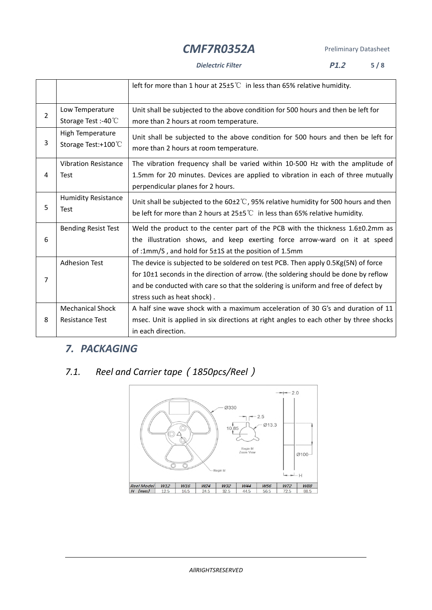### *Dielectric Filter* **P1.2 5 / 8**

|                |                             | left for more than 1 hour at $25\pm5^{\circ}$ in less than 65% relative humidity.              |  |  |  |  |
|----------------|-----------------------------|------------------------------------------------------------------------------------------------|--|--|--|--|
|                | Low Temperature             | Unit shall be subjected to the above condition for 500 hours and then be left for              |  |  |  |  |
| $\overline{2}$ | Storage Test:-40°C          | more than 2 hours at room temperature.                                                         |  |  |  |  |
|                | High Temperature            | Unit shall be subjected to the above condition for 500 hours and then be left for              |  |  |  |  |
| 3              | Storage Test:+100°C         | more than 2 hours at room temperature.                                                         |  |  |  |  |
|                | <b>Vibration Resistance</b> | The vibration frequency shall be varied within 10-500 Hz with the amplitude of                 |  |  |  |  |
| $\overline{4}$ | <b>Test</b>                 | 1.5mm for 20 minutes. Devices are applied to vibration in each of three mutually               |  |  |  |  |
|                |                             | perpendicular planes for 2 hours.                                                              |  |  |  |  |
|                | <b>Humidity Resistance</b>  | Unit shall be subjected to the $60\pm2\degree$ C, 95% relative humidity for 500 hours and then |  |  |  |  |
| 5              | <b>Test</b>                 | be left for more than 2 hours at $25\pm5^{\circ}$ in less than 65% relative humidity.          |  |  |  |  |
|                | <b>Bending Resist Test</b>  | Weld the product to the center part of the PCB with the thickness 1.6±0.2mm as                 |  |  |  |  |
| 6              |                             | the illustration shows, and keep exerting force arrow-ward on it at speed                      |  |  |  |  |
|                |                             | of:1mm/S, and hold for 5±1S at the position of 1.5mm                                           |  |  |  |  |
|                | <b>Adhesion Test</b>        | The device is subjected to be soldered on test PCB. Then apply 0.5Kg(5N) of force              |  |  |  |  |
| 7              |                             | for 10±1 seconds in the direction of arrow. (the soldering should be done by reflow            |  |  |  |  |
|                |                             | and be conducted with care so that the soldering is uniform and free of defect by              |  |  |  |  |
|                |                             | stress such as heat shock).                                                                    |  |  |  |  |
|                | <b>Mechanical Shock</b>     | A half sine wave shock with a maximum acceleration of 30 G's and duration of 11                |  |  |  |  |
| 8              | Resistance Test             | msec. Unit is applied in six directions at right angles to each other by three shocks          |  |  |  |  |
|                |                             | in each direction.                                                                             |  |  |  |  |

# *7. PACKAGING*

# *7.1. Reel and Carrier tape*(*1850pcs/Reel*)

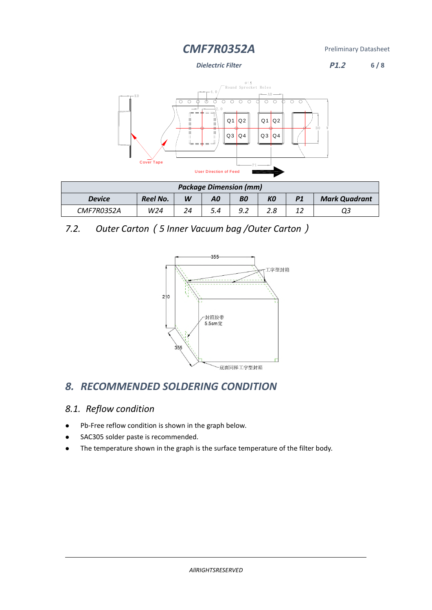*Dielectric Filter* **P1.2 6 / 8**



| <b>Package Dimension (mm)</b>                                        |     |    |  |  |  |  |                      |
|----------------------------------------------------------------------|-----|----|--|--|--|--|----------------------|
| <b>Reel No.</b><br>KО<br>W<br><b>BO</b><br>A0<br>P1<br><b>Device</b> |     |    |  |  |  |  | <b>Mark Quadrant</b> |
| CMF7R0352A                                                           | W24 | 24 |  |  |  |  |                      |

*7.2. Outer Carton*(*5 Inner Vacuum bag /Outer Carton*)



# *8. RECOMMENDED SOLDERING CONDITION*

## *8.1. Reflow condition*

- Pb-Free reflow condition is shown in the graph below.
- SAC305 solder paste is recommended.
- The temperature shown in the graph is the surface temperature of the filter body.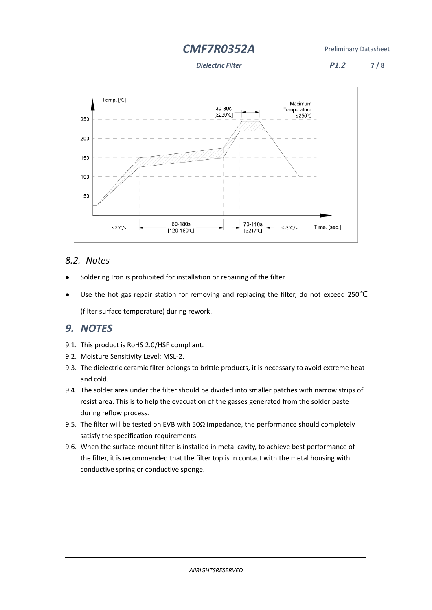*Dielectric Filter* **P1.2 7 / 8**



## *8.2. Notes*

- Soldering Iron is prohibited for installation or repairing of the filter.
- Use the hot gas repair station for removing and replacing the filter, do not exceed 250℃ (filter surface temperature) during rework.

## *9. NOTES*

- 9.1. This product is RoHS 2.0/HSF compliant.
- 9.2. Moisture Sensitivity Level: MSL-2.
- 9.3. The dielectric ceramic filter belongs to brittle products, it is necessary to avoid extreme heat and cold.
- 9.4. The solder area under the filter should be divided into smaller patches with narrow strips of resist area. This is to help the evacuation of the gasses generated from the solder paste during reflow process.
- 9.5. The filter will be tested on EVB with 50 $\Omega$  impedance, the performance should completely satisfy the specification requirements.
- 9.6. When the surface-mount filter is installed in metal cavity, to achieve best performance of the filter, it is recommended that the filter top is in contact with the metal housing with conductive spring or conductive sponge.